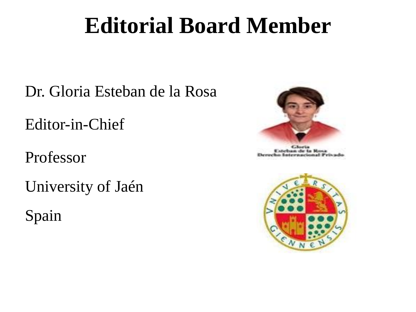# **Editorial Board Member**

Dr. Gloria Esteban de la Rosa

Editor-in-Chief

Professor

University of Jaén

Spain



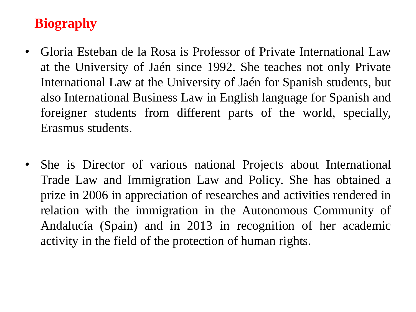# **Biography**

- Gloria Esteban de la Rosa is Professor of Private International Law at the University of Jaén since 1992. She teaches not only Private International Law at the University of Jaén for Spanish students, but also International Business Law in English language for Spanish and foreigner students from different parts of the world, specially, Erasmus students.
- She is Director of various national Projects about International Trade Law and Immigration Law and Policy. She has obtained a prize in 2006 in appreciation of researches and activities rendered in relation with the immigration in the Autonomous Community of Andalucía (Spain) and in 2013 in recognition of her academic activity in the field of the protection of human rights.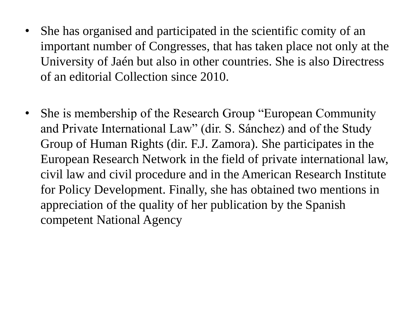- She has organised and participated in the scientific comity of an important number of Congresses, that has taken place not only at the University of Jaén but also in other countries. She is also Directress of an editorial Collection since 2010.
- She is membership of the Research Group "European Community" and Private International Law" (dir. S. Sánchez) and of the Study Group of Human Rights (dir. F.J. Zamora). She participates in the European Research Network in the field of private international law, civil law and civil procedure and in the American Research Institute for Policy Development. Finally, she has obtained two mentions in appreciation of the quality of her publication by the Spanish competent National Agency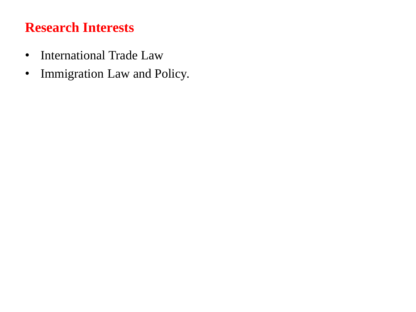# **Research Interests**

- International Trade Law
- Immigration Law and Policy.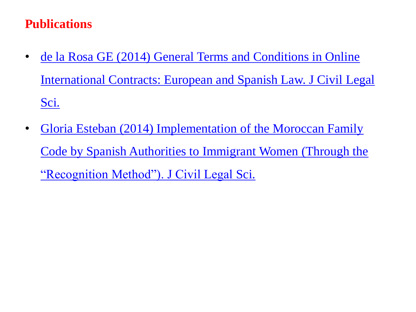#### **Publications**

- de la Rosa GE (2014) General Terms and Conditions in Online [International Contracts: European and Spanish Law. J Civil Legal](http://omicsgroup.org/journals/general-terms-and-conditions-in-online-international-contracts-european-and-spanish-law-2169-0170.1000e116.php?aid=26358)  [Sci.](http://omicsgroup.org/journals/general-terms-and-conditions-in-online-international-contracts-european-and-spanish-law-2169-0170.1000e116.php?aid=26358)
- Gloria Esteban (2014) Implementation of the Moroccan Family [Code by Spanish Authorities to Immigrant Women \(Through the](http://omicsgroup.org/journals/implementation-of-the-moroccan-family-code-by-spanish-authorities-to-immigrant-women-through-the-recognition-method-2169-0170.1000116.php?aid=25312)  ["Recognition Method"\). J Civil Legal Sci.](http://omicsgroup.org/journals/implementation-of-the-moroccan-family-code-by-spanish-authorities-to-immigrant-women-through-the-recognition-method-2169-0170.1000116.php?aid=25312)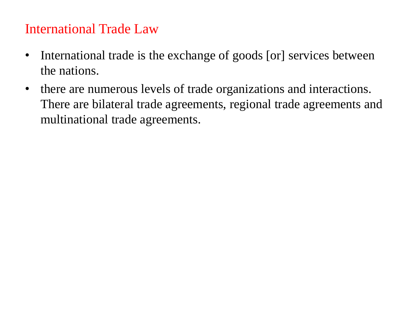### International Trade Law

- International trade is the exchange of goods [or] services between the nations.
- there are numerous levels of trade organizations and interactions. There are bilateral trade agreements, regional trade agreements and multinational trade agreements.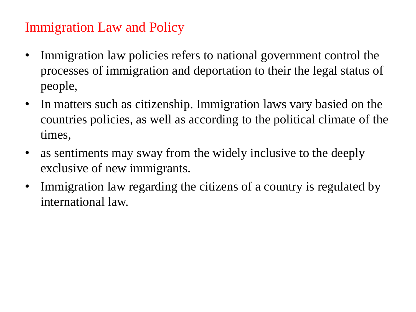## Immigration Law and Policy

- Immigration law policies refers to national government control the processes of immigration and deportation to their the legal status of people,
- In matters such as citizenship. Immigration laws vary basied on the countries policies, as well as according to the political climate of the times,
- as sentiments may sway from the widely inclusive to the deeply exclusive of new immigrants.
- Immigration law regarding the citizens of a country is regulated by international law.